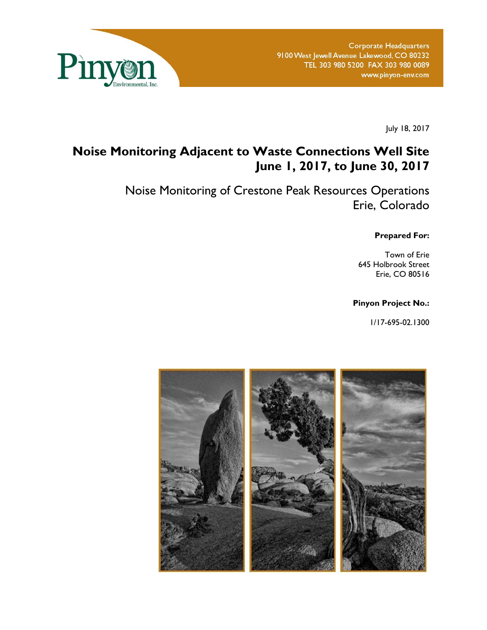

July 18, 2017

# **Noise Monitoring Adjacent to Waste Connections Well Site June 1, 2017, to June 30, 2017**

Noise Monitoring of Crestone Peak Resources Operations Erie, Colorado

**Prepared For:** 

Town of Erie 645 Holbrook Street Erie, CO 80516

#### **Pinyon Project No.:**

1/17-695-02.1300

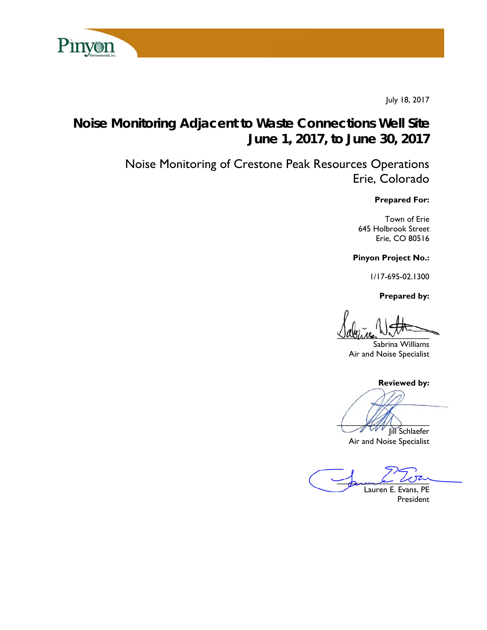

July 18, 2017

# **Noise Monitoring Adjacent to Waste Connections Well Site June 1, 2017, to June 30, 2017**

Noise Monitoring of Crestone Peak Resources Operations Erie, Colorado

**Prepared For:** 

Town of Erie 645 Holbrook Street Erie, CO 80516

**Pinyon Project No.:** 

1/17-695-02.1300

 **Prepared by:** 

 $\sqrt{2}$ 

Sabrina Williams Air and Noise Specialist

**Reviewed by:**

 $\mathcal{L}(\mathcal{U})$ 

Jill Schlaefer Air and Noise Specialist

Jame War Lauren E. Evans, PE

President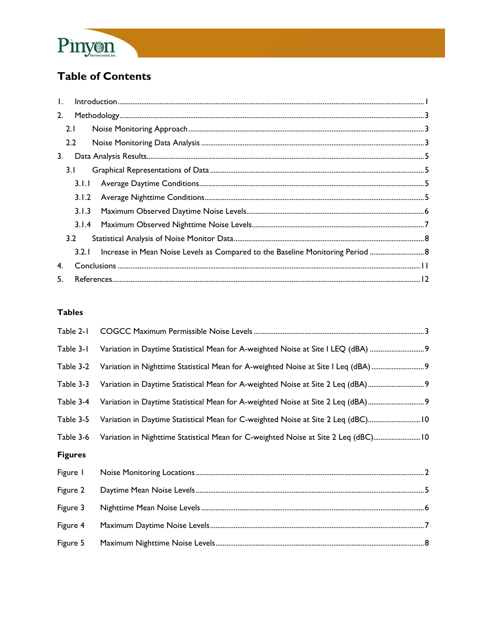

# **Table of Contents**

| $\mathbf{L}$ |       | $\small \textsf{Introduction} \textcolor{red}{.} \textcolor{red}{.} \textcolor{red}{.} \textcolor{red}{.} \textcolor{red}{.} \textcolor{red}{.} \textcolor{red}{.} \textcolor{red}{.} \textcolor{red}{.} \textcolor{red}{.} \textcolor{red}{.} \textcolor{red}{.} \textcolor{red}{.} \textcolor{red}{.} \textcolor{red}{.} \textcolor{red}{.} \textcolor{red}{.} \textcolor{red}{.} \textcolor{red}{.} \textcolor{red}{.} \textcolor{red}{.} \textcolor{red}{.} \textcolor{red}{.} \textcolor{red}{.} \textcolor{red}{.} \textcolor{red}{.} \textcolor{$ |  |
|--------------|-------|----------------------------------------------------------------------------------------------------------------------------------------------------------------------------------------------------------------------------------------------------------------------------------------------------------------------------------------------------------------------------------------------------------------------------------------------------------------------------------------------------------------------------------------------------------|--|
| 2.           |       |                                                                                                                                                                                                                                                                                                                                                                                                                                                                                                                                                          |  |
|              | 2.1   |                                                                                                                                                                                                                                                                                                                                                                                                                                                                                                                                                          |  |
|              | 2.2   |                                                                                                                                                                                                                                                                                                                                                                                                                                                                                                                                                          |  |
| 3.           |       |                                                                                                                                                                                                                                                                                                                                                                                                                                                                                                                                                          |  |
|              | 3.1   |                                                                                                                                                                                                                                                                                                                                                                                                                                                                                                                                                          |  |
|              | 3.1.1 |                                                                                                                                                                                                                                                                                                                                                                                                                                                                                                                                                          |  |
|              | 3.1.2 |                                                                                                                                                                                                                                                                                                                                                                                                                                                                                                                                                          |  |
|              | 3.1.3 |                                                                                                                                                                                                                                                                                                                                                                                                                                                                                                                                                          |  |
|              | 3.1.4 |                                                                                                                                                                                                                                                                                                                                                                                                                                                                                                                                                          |  |
|              | 3.2   |                                                                                                                                                                                                                                                                                                                                                                                                                                                                                                                                                          |  |
|              |       |                                                                                                                                                                                                                                                                                                                                                                                                                                                                                                                                                          |  |
| 4.           |       |                                                                                                                                                                                                                                                                                                                                                                                                                                                                                                                                                          |  |
| 5.           |       |                                                                                                                                                                                                                                                                                                                                                                                                                                                                                                                                                          |  |

### **Tables**

| Table 2-1      |                                                                                     |
|----------------|-------------------------------------------------------------------------------------|
| Table 3-1      | Variation in Daytime Statistical Mean for A-weighted Noise at Site I LEQ (dBA) 9    |
| Table 3-2      | Variation in Nighttime Statistical Mean for A-weighted Noise at Site I Leq (dBA)  9 |
| Table 3-3      |                                                                                     |
| Table 3-4      | Variation in Daytime Statistical Mean for A-weighted Noise at Site 2 Leq (dBA)9     |
| Table 3-5      | Variation in Daytime Statistical Mean for C-weighted Noise at Site 2 Leq (dBC) 10   |
| Table 3-6      | Variation in Nighttime Statistical Mean for C-weighted Noise at Site 2 Leq (dBC) 10 |
| <b>Figures</b> |                                                                                     |
| Figure I       |                                                                                     |
| Figure 2       |                                                                                     |
| Figure 3       |                                                                                     |
| Figure 4       |                                                                                     |
| Figure 5       |                                                                                     |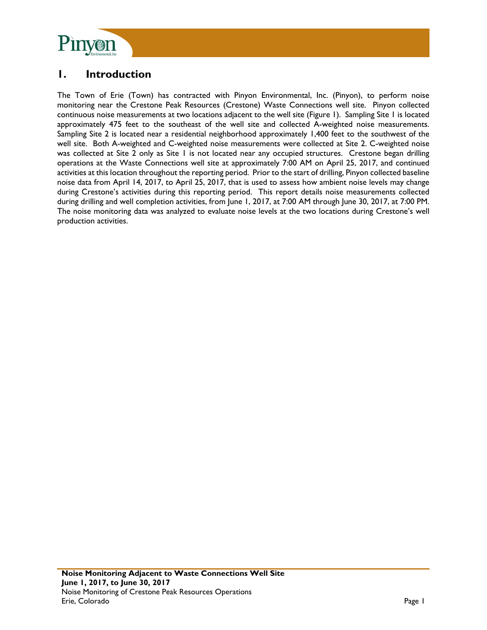

### **1. Introduction**

The Town of Erie (Town) has contracted with Pinyon Environmental, Inc. (Pinyon), to perform noise monitoring near the Crestone Peak Resources (Crestone) Waste Connections well site. Pinyon collected continuous noise measurements at two locations adjacent to the well site (Figure 1). Sampling Site 1 is located approximately 475 feet to the southeast of the well site and collected A-weighted noise measurements. Sampling Site 2 is located near a residential neighborhood approximately 1,400 feet to the southwest of the well site. Both A-weighted and C-weighted noise measurements were collected at Site 2. C-weighted noise was collected at Site 2 only as Site 1 is not located near any occupied structures. Crestone began drilling operations at the Waste Connections well site at approximately 7:00 AM on April 25, 2017, and continued activities at this location throughout the reporting period. Prior to the start of drilling, Pinyon collected baseline noise data from April 14, 2017, to April 25, 2017, that is used to assess how ambient noise levels may change during Crestone's activities during this reporting period. This report details noise measurements collected during drilling and well completion activities, from June 1, 2017, at 7:00 AM through June 30, 2017, at 7:00 PM. The noise monitoring data was analyzed to evaluate noise levels at the two locations during Crestone's well production activities.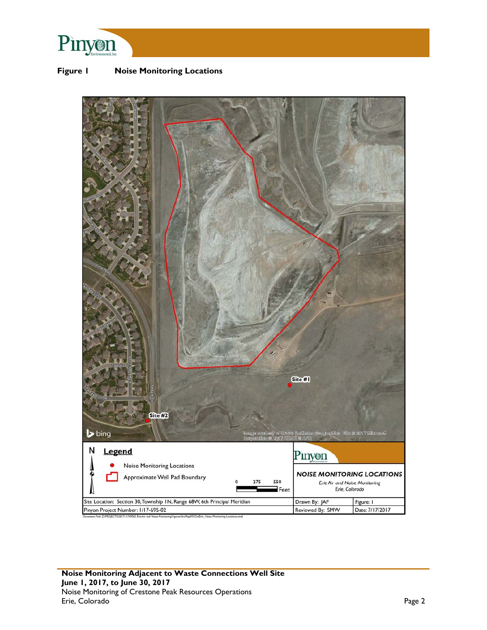

**Figure 1 Noise Monitoring Locations** 

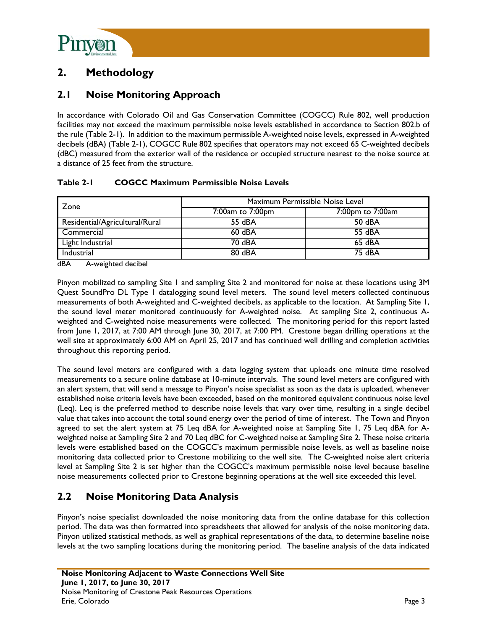

## **2. Methodology**

### **2.1 Noise Monitoring Approach**

In accordance with Colorado Oil and Gas Conservation Committee (COGCC) Rule 802, well production facilities may not exceed the maximum permissible noise levels established in accordance to Section 802.b of the rule (Table 2-1). In addition to the maximum permissible A-weighted noise levels, expressed in A-weighted decibels (dBA) (Table 2-1), COGCC Rule 802 specifies that operators may not exceed 65 C-weighted decibels (dBC) measured from the exterior wall of the residence or occupied structure nearest to the noise source at a distance of 25 feet from the structure.

#### **Table 2-1 COGCC Maximum Permissible Noise Levels**

| Zone                           | Maximum Permissible Noise Level |                  |  |  |
|--------------------------------|---------------------------------|------------------|--|--|
|                                | 7:00am to 7:00pm                | 7:00pm to 7:00am |  |  |
| Residential/Agricultural/Rural | 55 dBA                          | 50 dBA           |  |  |
| Commercial                     | $60$ dBA                        | 55 dBA           |  |  |
| Light Industrial               | 70 dBA                          | 65 dBA           |  |  |
| Industrial                     | 80 dBA                          | 75 dBA           |  |  |

dBA A-weighted decibel

Pinyon mobilized to sampling Site 1 and sampling Site 2 and monitored for noise at these locations using 3M Quest SoundPro DL Type 1 datalogging sound level meters. The sound level meters collected continuous measurements of both A-weighted and C-weighted decibels, as applicable to the location. At Sampling Site 1, the sound level meter monitored continuously for A-weighted noise. At sampling Site 2, continuous Aweighted and C-weighted noise measurements were collected. The monitoring period for this report lasted from June 1, 2017, at 7:00 AM through June 30, 2017, at 7:00 PM. Crestone began drilling operations at the well site at approximately 6:00 AM on April 25, 2017 and has continued well drilling and completion activities throughout this reporting period.

The sound level meters are configured with a data logging system that uploads one minute time resolved measurements to a secure online database at 10-minute intervals. The sound level meters are configured with an alert system, that will send a message to Pinyon's noise specialist as soon as the data is uploaded, whenever established noise criteria levels have been exceeded, based on the monitored equivalent continuous noise level (Leq). Leq is the preferred method to describe noise levels that vary over time, resulting in a single decibel value that takes into account the total sound energy over the period of time of interest. The Town and Pinyon agreed to set the alert system at 75 Leq dBA for A-weighted noise at Sampling Site 1, 75 Leq dBA for Aweighted noise at Sampling Site 2 and 70 Leq dBC for C-weighted noise at Sampling Site 2. These noise criteria levels were established based on the COGCC's maximum permissible noise levels, as well as baseline noise monitoring data collected prior to Crestone mobilizing to the well site. The C-weighted noise alert criteria level at Sampling Site 2 is set higher than the COGCC's maximum permissible noise level because baseline noise measurements collected prior to Crestone beginning operations at the well site exceeded this level.

### **2.2 Noise Monitoring Data Analysis**

Pinyon's noise specialist downloaded the noise monitoring data from the online database for this collection period. The data was then formatted into spreadsheets that allowed for analysis of the noise monitoring data. Pinyon utilized statistical methods, as well as graphical representations of the data, to determine baseline noise levels at the two sampling locations during the monitoring period. The baseline analysis of the data indicated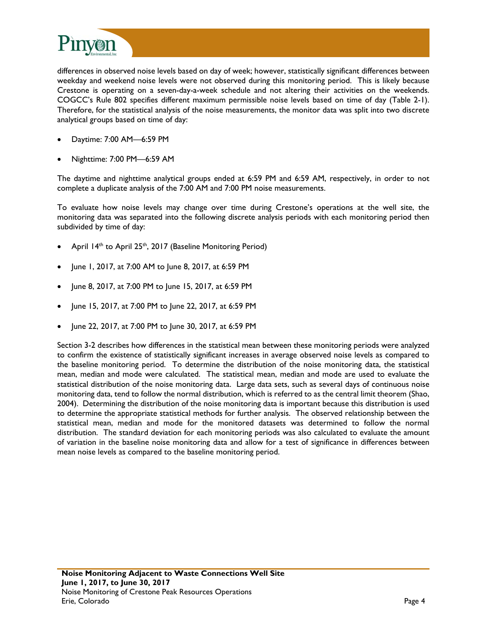

differences in observed noise levels based on day of week; however, statistically significant differences between weekday and weekend noise levels were not observed during this monitoring period. This is likely because Crestone is operating on a seven-day-a-week schedule and not altering their activities on the weekends. COGCC's Rule 802 specifies different maximum permissible noise levels based on time of day (Table 2-1). Therefore, for the statistical analysis of the noise measurements, the monitor data was split into two discrete analytical groups based on time of day:

- Daytime: 7:00 AM—6:59 PM
- Nighttime: 7:00 PM—6:59 AM

The daytime and nighttime analytical groups ended at 6:59 PM and 6:59 AM, respectively, in order to not complete a duplicate analysis of the 7:00 AM and 7:00 PM noise measurements.

To evaluate how noise levels may change over time during Crestone's operations at the well site, the monitoring data was separated into the following discrete analysis periods with each monitoring period then subdivided by time of day:

- April 14<sup>th</sup> to April 25<sup>th</sup>, 2017 (Baseline Monitoring Period)
- June 1, 2017, at 7:00 AM to June 8, 2017, at 6:59 PM
- June 8, 2017, at 7:00 PM to June 15, 2017, at 6:59 PM
- June 15, 2017, at 7:00 PM to June 22, 2017, at 6:59 PM
- June 22, 2017, at 7:00 PM to June 30, 2017, at 6:59 PM

Section 3-2 describes how differences in the statistical mean between these monitoring periods were analyzed to confirm the existence of statistically significant increases in average observed noise levels as compared to the baseline monitoring period. To determine the distribution of the noise monitoring data, the statistical mean, median and mode were calculated. The statistical mean, median and mode are used to evaluate the statistical distribution of the noise monitoring data. Large data sets, such as several days of continuous noise monitoring data, tend to follow the normal distribution, which is referred to as the central limit theorem (Shao, 2004). Determining the distribution of the noise monitoring data is important because this distribution is used to determine the appropriate statistical methods for further analysis. The observed relationship between the statistical mean, median and mode for the monitored datasets was determined to follow the normal distribution. The standard deviation for each monitoring periods was also calculated to evaluate the amount of variation in the baseline noise monitoring data and allow for a test of significance in differences between mean noise levels as compared to the baseline monitoring period.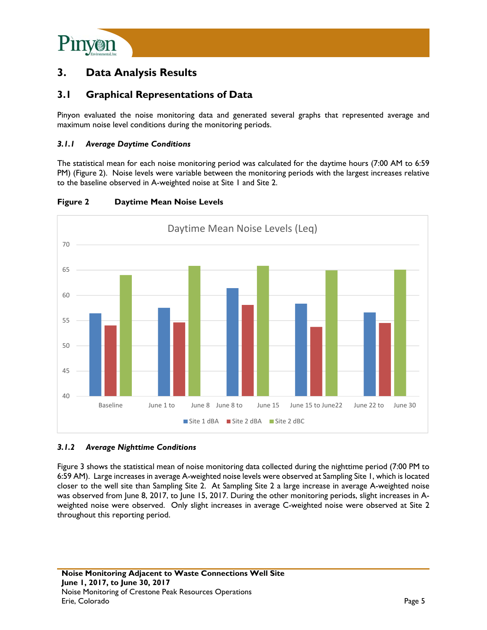

## **3. Data Analysis Results**

### **3.1 Graphical Representations of Data**

Pinyon evaluated the noise monitoring data and generated several graphs that represented average and maximum noise level conditions during the monitoring periods.

#### *3.1.1 Average Daytime Conditions*

The statistical mean for each noise monitoring period was calculated for the daytime hours (7:00 AM to 6:59 PM) (Figure 2). Noise levels were variable between the monitoring periods with the largest increases relative to the baseline observed in A-weighted noise at Site 1 and Site 2.



#### **Figure 2 Daytime Mean Noise Levels**

#### *3.1.2 Average Nighttime Conditions*

Figure 3 shows the statistical mean of noise monitoring data collected during the nighttime period (7:00 PM to 6:59 AM). Large increases in average A-weighted noise levels were observed at Sampling Site 1, which is located closer to the well site than Sampling Site 2. At Sampling Site 2 a large increase in average A-weighted noise was observed from June 8, 2017, to June 15, 2017. During the other monitoring periods, slight increases in Aweighted noise were observed. Only slight increases in average C-weighted noise were observed at Site 2 throughout this reporting period.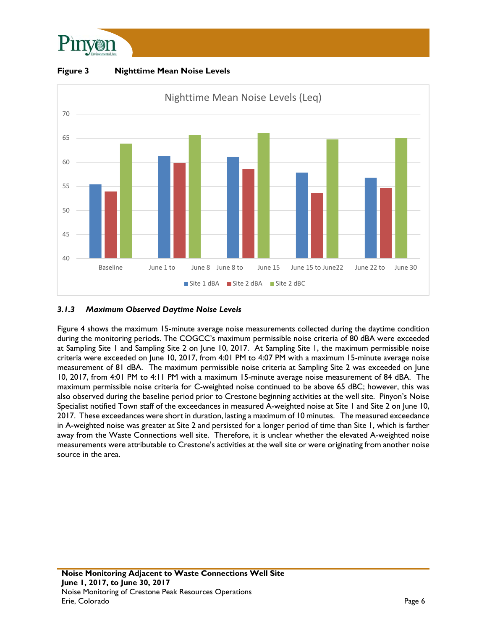

**Figure 3 Nighttime Mean Noise Levels** 



#### *3.1.3 Maximum Observed Daytime Noise Levels*

Figure 4 shows the maximum 15-minute average noise measurements collected during the daytime condition during the monitoring periods. The COGCC's maximum permissible noise criteria of 80 dBA were exceeded at Sampling Site 1 and Sampling Site 2 on June 10, 2017. At Sampling Site 1, the maximum permissible noise criteria were exceeded on June 10, 2017, from 4:01 PM to 4:07 PM with a maximum 15-minute average noise measurement of 81 dBA. The maximum permissible noise criteria at Sampling Site 2 was exceeded on June 10, 2017, from 4:01 PM to 4:11 PM with a maximum 15-minute average noise measurement of 84 dBA. The maximum permissible noise criteria for C-weighted noise continued to be above 65 dBC; however, this was also observed during the baseline period prior to Crestone beginning activities at the well site. Pinyon's Noise Specialist notified Town staff of the exceedances in measured A-weighted noise at Site 1 and Site 2 on June 10, 2017. These exceedances were short in duration, lasting a maximum of 10 minutes. The measured exceedance in A-weighted noise was greater at Site 2 and persisted for a longer period of time than Site 1, which is farther away from the Waste Connections well site. Therefore, it is unclear whether the elevated A-weighted noise measurements were attributable to Crestone's activities at the well site or were originating from another noise source in the area.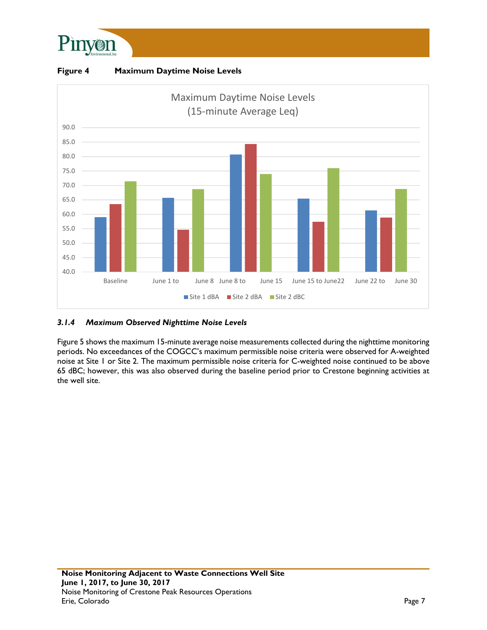





#### *3.1.4 Maximum Observed Nighttime Noise Levels*

Figure 5 shows the maximum 15-minute average noise measurements collected during the nighttime monitoring periods. No exceedances of the COGCC's maximum permissible noise criteria were observed for A-weighted noise at Site 1 or Site 2. The maximum permissible noise criteria for C-weighted noise continued to be above 65 dBC; however, this was also observed during the baseline period prior to Crestone beginning activities at the well site.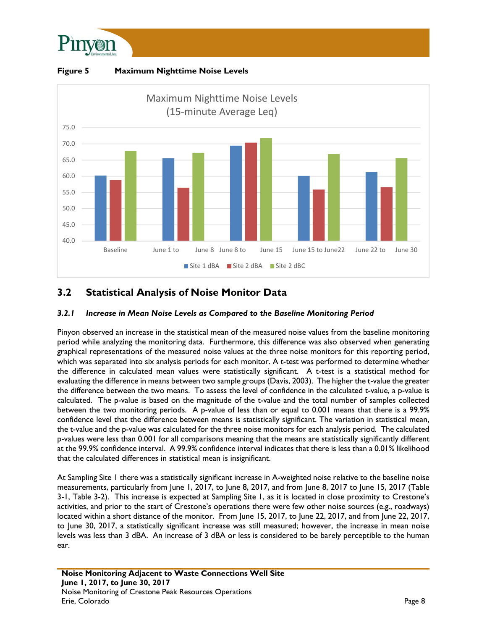





### **3.2 Statistical Analysis of Noise Monitor Data**

#### *3.2.1 Increase in Mean Noise Levels as Compared to the Baseline Monitoring Period*

Pinyon observed an increase in the statistical mean of the measured noise values from the baseline monitoring period while analyzing the monitoring data. Furthermore, this difference was also observed when generating graphical representations of the measured noise values at the three noise monitors for this reporting period, which was separated into six analysis periods for each monitor. A t-test was performed to determine whether the difference in calculated mean values were statistically significant. A t-test is a statistical method for evaluating the difference in means between two sample groups (Davis, 2003). The higher the t-value the greater the difference between the two means. To assess the level of confidence in the calculated t-value, a p-value is calculated. The p-value is based on the magnitude of the t-value and the total number of samples collected between the two monitoring periods. A p-value of less than or equal to 0.001 means that there is a 99.9% confidence level that the difference between means is statistically significant. The variation in statistical mean, the t-value and the p-value was calculated for the three noise monitors for each analysis period. The calculated p-values were less than 0.001 for all comparisons meaning that the means are statistically significantly different at the 99.9% confidence interval. A 99.9% confidence interval indicates that there is less than a 0.01% likelihood that the calculated differences in statistical mean is insignificant.

At Sampling Site 1 there was a statistically significant increase in A-weighted noise relative to the baseline noise measurements, particularly from June 1, 2017, to June 8, 2017, and from June 8, 2017 to June 15, 2017 (Table 3-1, Table 3-2). This increase is expected at Sampling Site 1, as it is located in close proximity to Crestone's activities, and prior to the start of Crestone's operations there were few other noise sources (e.g., roadways) located within a short distance of the monitor. From June 15, 2017, to June 22, 2017, and from June 22, 2017, to June 30, 2017, a statistically significant increase was still measured; however, the increase in mean noise levels was less than 3 dBA. An increase of 3 dBA or less is considered to be barely perceptible to the human ear.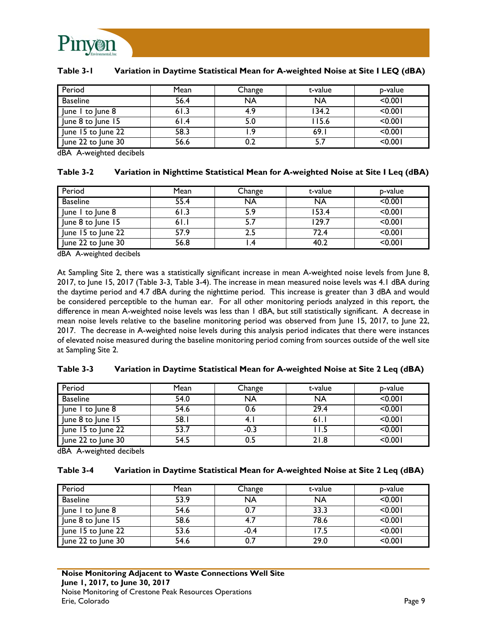

| Period             | Mean | Change    | t-value   | p-value |
|--------------------|------|-----------|-----------|---------|
| <b>Baseline</b>    | 56.4 | <b>NA</b> | <b>NA</b> | < 0.001 |
| June I to June 8   | 61.3 | 4.9       | 134.2     | < 0.001 |
| June 8 to June 15  | 61.4 | 5.0       | l I 5.6   | < 0.001 |
| June 15 to June 22 | 58.3 |           | 69.       | < 0.001 |
| June 22 to June 30 | 56.6 |           | 5.7       | < 0.001 |

#### **Table 3-1 Variation in Daytime Statistical Mean for A-weighted Noise at Site I LEQ (dBA)**

dBA A-weighted decibels

#### **Table 3-2 Variation in Nighttime Statistical Mean for A-weighted Noise at Site I Leq (dBA)**

| Period             | Mean | Change    | t-value   | p-value |
|--------------------|------|-----------|-----------|---------|
| <b>Baseline</b>    | 55.4 | <b>NA</b> | <b>NA</b> | < 0.001 |
| June I to June 8   | 61.3 | 5.9       | 153.4     | < 0.001 |
| June 8 to June 15  | 61.1 | 5.7       | 129.7     | < 0.001 |
| June 15 to June 22 | 57.9 | 2.5       | 72.4      | < 0.001 |
| June 22 to June 30 | 56.8 |           | 40.2      | < 0.001 |

dBA A-weighted decibels

At Sampling Site 2, there was a statistically significant increase in mean A-weighted noise levels from June 8, 2017, to June 15, 2017 (Table 3-3, Table 3-4). The increase in mean measured noise levels was 4.1 dBA during the daytime period and 4.7 dBA during the nighttime period. This increase is greater than 3 dBA and would be considered perceptible to the human ear. For all other monitoring periods analyzed in this report, the difference in mean A-weighted noise levels was less than 1 dBA, but still statistically significant. A decrease in mean noise levels relative to the baseline monitoring period was observed from June 15, 2017, to June 22, 2017. The decrease in A-weighted noise levels during this analysis period indicates that there were instances of elevated noise measured during the baseline monitoring period coming from sources outside of the well site at Sampling Site 2.

#### **Table 3-3 Variation in Daytime Statistical Mean for A-weighted Noise at Site 2 Leq (dBA)**

| Period             | Mean | Change    | t-value   | p-value |
|--------------------|------|-----------|-----------|---------|
| <b>Baseline</b>    | 54.0 | <b>NA</b> | <b>NA</b> | < 0.001 |
| June I to June 8   | 54.6 | 0.6       | 29.4      | < 0.001 |
| June 8 to June 15  | 58.1 | 4.1       | 61.1      | < 0.001 |
| June 15 to June 22 | 53.7 | -0.3      |           | < 0.001 |
| June 22 to June 30 | 54.5 | 0.5       | 21.8      | < 0.001 |

dBA A-weighted decibels

#### **Table 3-4 Variation in Daytime Statistical Mean for A-weighted Noise at Site 2 Leq (dBA)**

| Period             | Mean | Change    | t-value   | p-value |
|--------------------|------|-----------|-----------|---------|
| <b>Baseline</b>    | 53.9 | <b>NA</b> | <b>NA</b> | < 0.001 |
| June 1 to June 8   | 54.6 |           | 33.3      | < 0.001 |
| June 8 to June 15  | 58.6 | 4.7       | 78.6      | < 0.001 |
| June 15 to June 22 | 53.6 | $-0.4$    | 17.5      | < 0.001 |
| June 22 to June 30 | 54.6 |           | 29.0      | < 0.001 |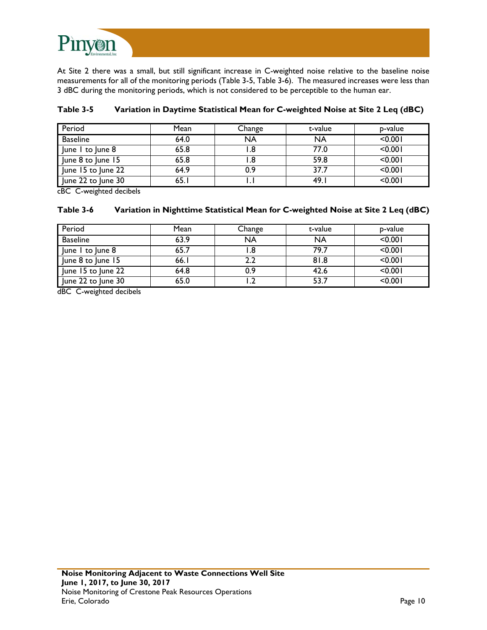

At Site 2 there was a small, but still significant increase in C-weighted noise relative to the baseline noise measurements for all of the monitoring periods (Table 3-5, Table 3-6). The measured increases were less than 3 dBC during the monitoring periods, which is not considered to be perceptible to the human ear.

| Period             | Mean | Change    | t-value   | p-value |
|--------------------|------|-----------|-----------|---------|
| <b>Baseline</b>    | 64.0 | <b>NA</b> | <b>NA</b> | < 0.001 |
| June I to June 8   | 65.8 |           | 77.0      | < 0.001 |
| June 8 to June 15  | 65.8 |           | 59.8      | < 0.001 |
| June 15 to June 22 | 64.9 | 0.9       | 37.7      | < 0.001 |
| June 22 to June 30 | 65.  |           | 49.       | < 0.001 |

#### **Table 3-5 Variation in Daytime Statistical Mean for C-weighted Noise at Site 2 Leq (dBC)**

cBC C-weighted decibels

#### **Table 3-6 Variation in Nighttime Statistical Mean for C-weighted Noise at Site 2 Leq (dBC)**

| Period             | Mean | Change    | t-value   | p-value |
|--------------------|------|-----------|-----------|---------|
| <b>Baseline</b>    | 63.9 | <b>NA</b> | <b>NA</b> | < 0.001 |
| June I to June 8   | 65.7 |           | 79.7      | < 0.001 |
| June 8 to June 15  | 66.I |           | 81.8      | < 0.001 |
| June 15 to June 22 | 64.8 | 0.9       | 42.6      | < 0.001 |
| June 22 to June 30 | 65.0 |           | 53.7      | < 0.001 |

dBC C-weighted decibels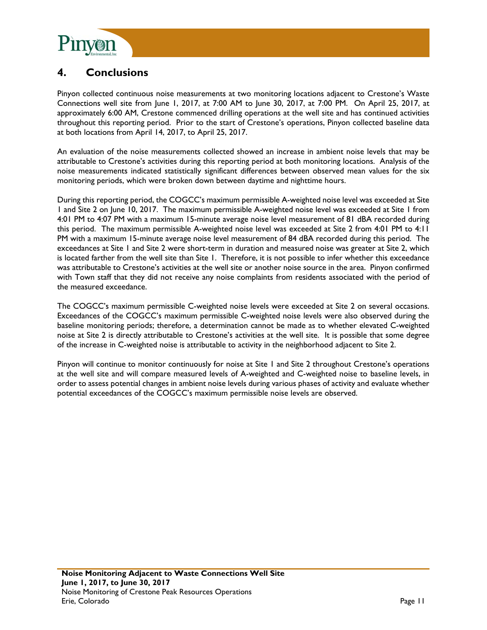

## **4. Conclusions**

Pinyon collected continuous noise measurements at two monitoring locations adjacent to Crestone's Waste Connections well site from June 1, 2017, at 7:00 AM to June 30, 2017, at 7:00 PM. On April 25, 2017, at approximately 6:00 AM, Crestone commenced drilling operations at the well site and has continued activities throughout this reporting period. Prior to the start of Crestone's operations, Pinyon collected baseline data at both locations from April 14, 2017, to April 25, 2017.

An evaluation of the noise measurements collected showed an increase in ambient noise levels that may be attributable to Crestone's activities during this reporting period at both monitoring locations. Analysis of the noise measurements indicated statistically significant differences between observed mean values for the six monitoring periods, which were broken down between daytime and nighttime hours.

During this reporting period, the COGCC's maximum permissible A-weighted noise level was exceeded at Site 1 and Site 2 on June 10, 2017. The maximum permissible A-weighted noise level was exceeded at Site 1 from 4:01 PM to 4:07 PM with a maximum 15-minute average noise level measurement of 81 dBA recorded during this period. The maximum permissible A-weighted noise level was exceeded at Site 2 from 4:01 PM to 4:11 PM with a maximum 15-minute average noise level measurement of 84 dBA recorded during this period. The exceedances at Site 1 and Site 2 were short-term in duration and measured noise was greater at Site 2, which is located farther from the well site than Site 1. Therefore, it is not possible to infer whether this exceedance was attributable to Crestone's activities at the well site or another noise source in the area. Pinyon confirmed with Town staff that they did not receive any noise complaints from residents associated with the period of the measured exceedance.

The COGCC's maximum permissible C-weighted noise levels were exceeded at Site 2 on several occasions. Exceedances of the COGCC's maximum permissible C-weighted noise levels were also observed during the baseline monitoring periods; therefore, a determination cannot be made as to whether elevated C-weighted noise at Site 2 is directly attributable to Crestone's activities at the well site. It is possible that some degree of the increase in C-weighted noise is attributable to activity in the neighborhood adjacent to Site 2.

Pinyon will continue to monitor continuously for noise at Site 1 and Site 2 throughout Crestone's operations at the well site and will compare measured levels of A-weighted and C-weighted noise to baseline levels, in order to assess potential changes in ambient noise levels during various phases of activity and evaluate whether potential exceedances of the COGCC's maximum permissible noise levels are observed.